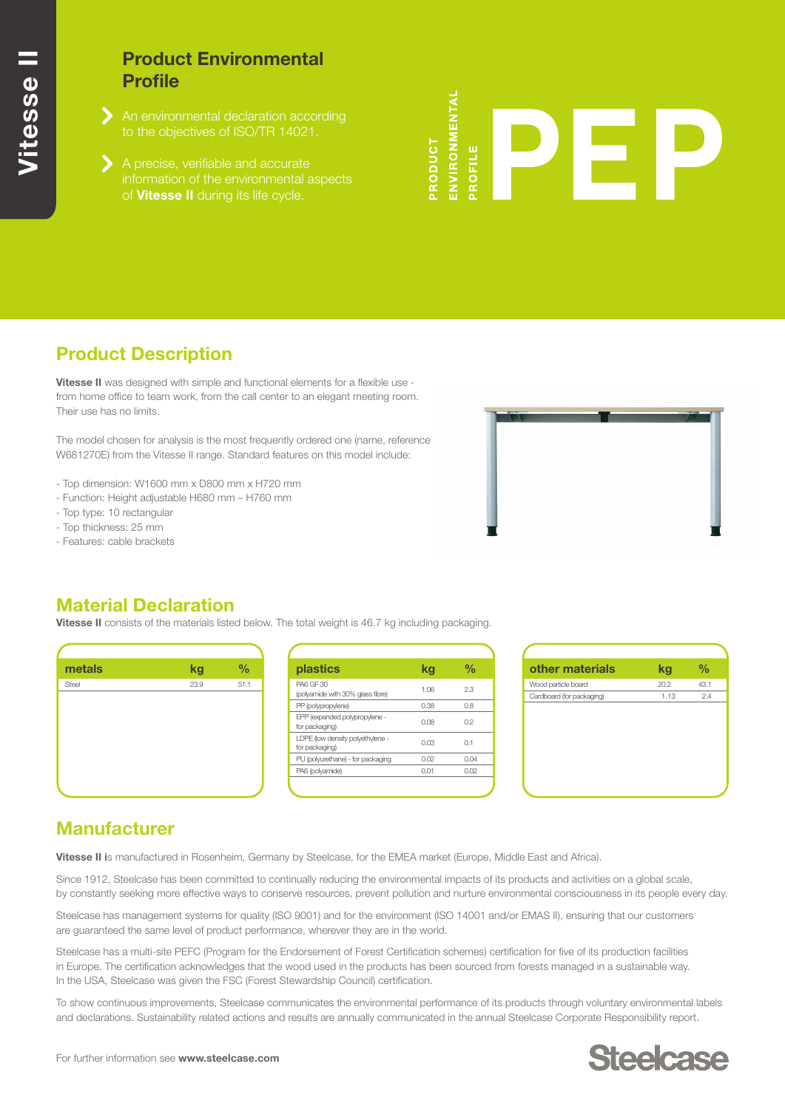## **Product Environmental Profile**

- An environmental declaration according
- of **Vitesse II** during its life cycle.

# **NVIRONMENTAL** RODUCT ROFILE

# **Product Description**

**Vitesse II** was designed with simple and functional elements for a flexible use from home office to team work, from the call center to an elegant meeting room. Their use has no limits.

The model chosen for analysis is the most frequently ordered one (name, reference W681270E) from the Vitesse II range. Standard features on this model include:

- Top dimension: W1600 mm x D800 mm x H720 mm
- Function: Height adjustable H680 mm H760 mm
- Top type: 10 rectangular
- Top thickness: 25 mm
- Features: cable brackets



#### **Material Declaration**

**Vitesse II** consists of the materials listed below. The total weight is 46.7 kg including packaging.



| plastics                                             | ka   | $\frac{0}{0}$ |
|------------------------------------------------------|------|---------------|
| <b>PA6 GF 30</b><br>(polyamide with 30% glass fibre) | 1.06 | 23            |
| PP (polypropylene)                                   | 0.38 | 0.8           |
| EPP (expanded polypropylene -<br>for packaging)      | 0.08 | 0.2           |
| LDPE (low density polyethylene -<br>for packaging)   | 0.03 | n 1           |
| PU (polyurethane) - for packaging                    | 0.O2 | 0.04          |
| PA6 (polyamide)                                      | 0.01 | 0.02          |
|                                                      |      |               |



## **Manufacturer**

**Vitesse II i**s manufactured in Rosenheim, Germany by Steelcase, for the EMEA market (Europe, Middle East and Africa).

Since 1912, Steelcase has been committed to continually reducing the environmental impacts of its products and activities on a global scale, by constantly seeking more effective ways to conserve resources, prevent pollution and nurture environmental consciousness in its people every day.

Steelcase has management systems for quality (ISO 9001) and for the environment (ISO 14001 and/or EMAS II), ensuring that our customers are guaranteed the same level of product performance, wherever they are in the world.

Steelcase has a multi-site PEFC (Program for the Endorsement of Forest Certification schemes) certification for five of its production facilities in Europe. The certification acknowledges that the wood used in the products has been sourced from forests managed in a sustainable way. In the USA, Steelcase was given the FSC (Forest Stewardship Council) certification.

To show continuous improvements, Steelcase communicates the environmental performance of its products through voluntary environmental labels and declarations. Sustainability related actions and results are annually communicated in the annual Steelcase Corporate Responsibility report.